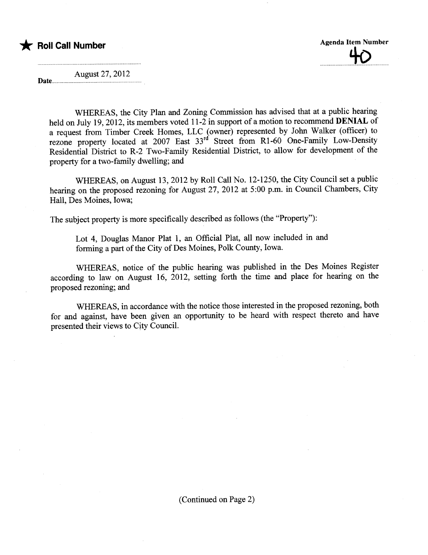\* **F** Roll Call Number **Agenda Item Number** Agenda Item Number  $\overline{\mathbf{v}}$ 

August 27,2012 Date................

> WHEREAS, the City Plan and Zoning Commission has advised that at a public hearing held on July 19, 2012, its members voted 11-2 in support of a motion to recommend **DENIAL** of a request from Timber Creek Homes, LLC (owner) represented by John Walker (officer) to rezone property located at 2007 East 33<sup>rd</sup> Street from R1-60 One-Family Low-Density Residential District to R-2 Two-Family Residential District, to allow for development of the property for a two-family dwelling; and

> WHEREAS, on August 13,2012 by Roll Call No. 12-1250, the City Council set a public hearing on the proposed rezoning for August 27, 2012 at 5:00 p.m. in Council Chambers, City Hall, Des Moines, Iowa;

The subject property is more specifically described as follows (the "Property"):

Lot 4, Douglas Manor Plat 1, an Official Plat, all now included in and forming a part of the City of Des Moines, Polk County, Iowa.

WHEREAS, notice of the public hearng was published in the Des Moines Register according to law on August 16, 2012, setting forth the time and place for hearing on the proposed rezoning; and

WHEREAS, in accordance with the notice those interested in the proposed rezoning, both for and against, have been given an opportunity to be heard with respect thereto and have presented their views to City CounciL.